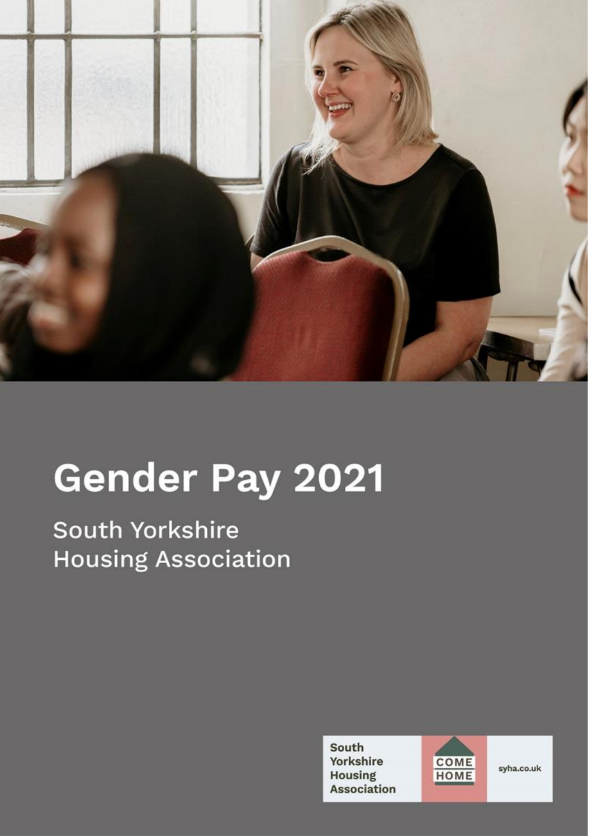

# **Gender Pay 2021**

**South Yorkshire Housing Association** 

> South Yorkshire **Housing Association**



syha.co.uk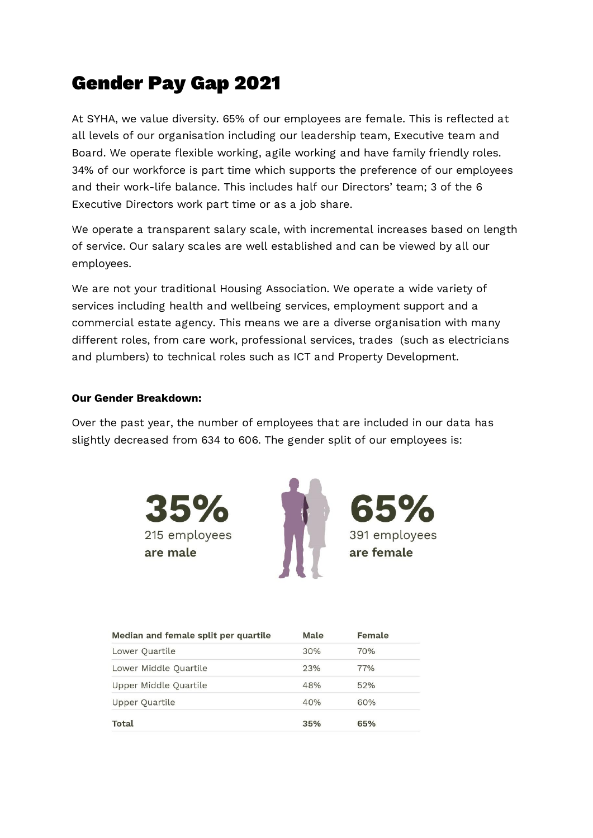# Gender Pay Gap 2021

At SYHA, we value diversity. 65% of our employees are female. This is reflected at all levels of our organisation including our leadership team, Executive team and Board. We operate flexible working, agile working and have family friendly roles. 34% of our workforce is part time which supports the preference of our employees and their work-life balance. This includes half our Directors' team; 3 of the 6 Executive Directors work part time or as a job share.

We operate a transparent salary scale, with incremental increases based on length of service. Our salary scales are well established and can be viewed by all our employees.

We are not your traditional Housing Association. We operate a wide variety of services including health and wellbeing services, employment support and a commercial estate agency. This means we are a diverse organisation with many different roles, from care work, professional services, trades (such as electricians and plumbers) to technical roles such as ICT and Property Development.

#### **Our Gender Breakdown:**

Over the past year, the number of employees that are included in our data has slightly decreased from 634 to 606. The gender split of our employees is:







| Median and female split per quartile | Male | Female |
|--------------------------------------|------|--------|
| Lower Quartile                       | 30%  | 70%    |
| Lower Middle Quartile                | 23%  | 77%    |
| Upper Middle Quartile                | 48%  | 52%    |
| Upper Quartile                       | 40%  | 60%    |
| Total                                | 35%  | 65%    |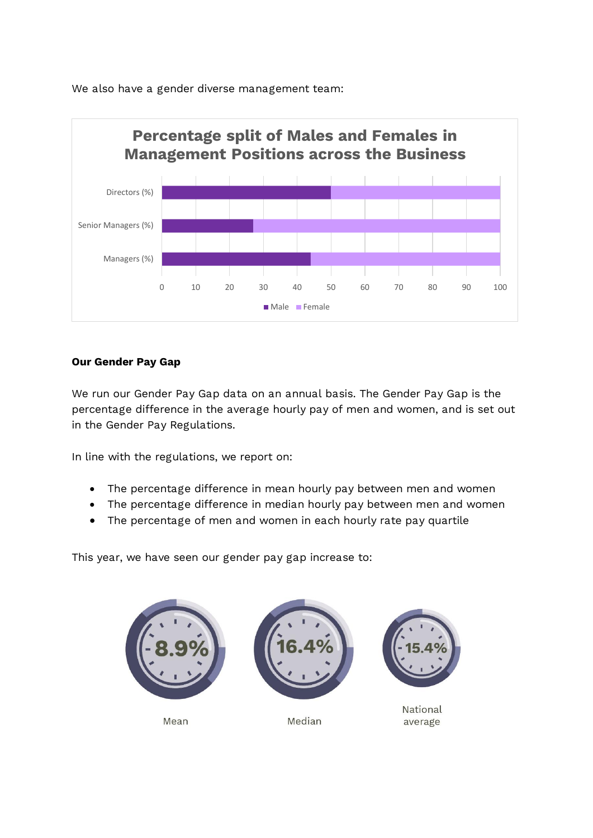



### **Our Gender Pay Gap**

We run our Gender Pay Gap data on an annual basis. The Gender Pay Gap is the percentage difference in the average hourly pay of men and women, and is set out in the Gender Pay Regulations.

In line with the regulations, we report on:

- The percentage difference in mean hourly pay between men and women
- The percentage difference in median hourly pay between men and women
- The percentage of men and women in each hourly rate pay quartile

This year, we have seen our gender pay gap increase to:



Mean







National average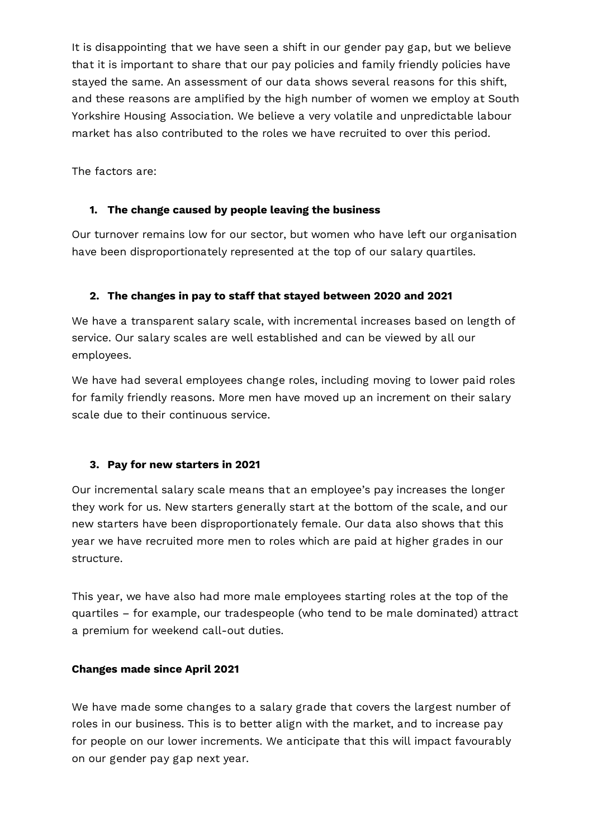It is disappointing that we have seen a shift in our gender pay gap, but we believe that it is important to share that our pay policies and family friendly policies have stayed the same. An assessment of our data shows several reasons for this shift, and these reasons are amplified by the high number of women we employ at South Yorkshire Housing Association. We believe a very volatile and unpredictable labour market has also contributed to the roles we have recruited to over this period.

The factors are:

# **1. The change caused by people leaving the business**

Our turnover remains low for our sector, but women who have left our organisation have been disproportionately represented at the top of our salary quartiles.

### **2. The changes in pay to staff that stayed between 2020 and 2021**

We have a transparent salary scale, with incremental increases based on length of service. Our salary scales are well established and can be viewed by all our employees.

We have had several employees change roles, including moving to lower paid roles for family friendly reasons. More men have moved up an increment on their salary scale due to their continuous service.

# **3. Pay for new starters in 2021**

Our incremental salary scale means that an employee's pay increases the longer they work for us. New starters generally start at the bottom of the scale, and our new starters have been disproportionately female. Our data also shows that this year we have recruited more men to roles which are paid at higher grades in our structure.

This year, we have also had more male employees starting roles at the top of the quartiles – for example, our tradespeople (who tend to be male dominated) attract a premium for weekend call-out duties.

#### **Changes made since April 2021**

We have made some changes to a salary grade that covers the largest number of roles in our business. This is to better align with the market, and to increase pay for people on our lower increments. We anticipate that this will impact favourably on our gender pay gap next year.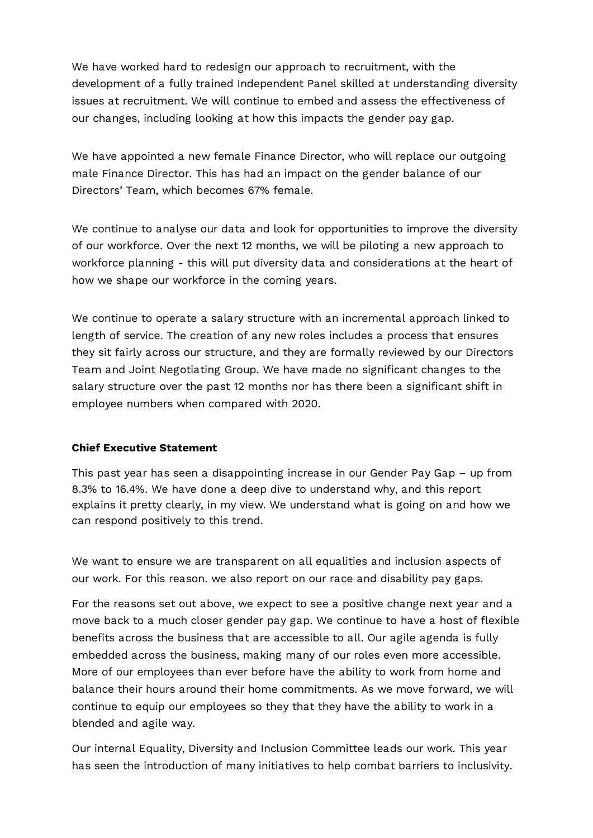We have worked hard to redesign our approach to recruitment, with the development of a fully trained Independent Panel skilled at understanding diversity issues at recruitment. We will continue to embed and assess the effectiveness of our changes, including looking at how this impacts the gender pay gap.

We have appointed a new female Finance Director, who will replace our outgoing male Finance Director. This has had an impact on the gender balance of our Directors' Team, which becomes 67% female.

We continue to analyse our data and look for opportunities to improve the diversity of our workforce. Over the next 12 months, we will be piloting a new approach to workforce planning - this will put diversity data and considerations at the heart of how we shape our workforce in the coming years.

We continue to operate a salary structure with an incremental approach linked to length of service. The creation of any new roles includes a process that ensures they sit fairly across our structure, and they are formally reviewed by our Directors Team and Joint Negotiating Group. We have made no significant changes to the salary structure over the past 12 months nor has there been a significant shift in employee numbers when compared with 2020.

#### **Chief Executive Statement**

This past year has seen a disappointing increase in our Gender Pay Gap – up from 8.3% to 16.4%. We have done a deep dive to understand why, and this report explains it pretty clearly, in my view. We understand what is going on and how we can respond positively to this trend.

We want to ensure we are transparent on all equalities and inclusion aspects of our work. For this reason. we also report on our race and disability pay gaps.

For the reasons set out above, we expect to see a positive change next year and a move back to a much closer gender pay gap. We continue to have a host of flexible benefits across the business that are accessible to all. Our agile agenda is fully embedded across the business, making many of our roles even more accessible. More of our employees than ever before have the ability to work from home and balance their hours around their home commitments. As we move forward, we will continue to equip our employees so they that they have the ability to work in a blended and agile way.

Our internal Equality, Diversity and Inclusion Committee leads our work. This year has seen the introduction of many initiatives to help combat barriers to inclusivity.